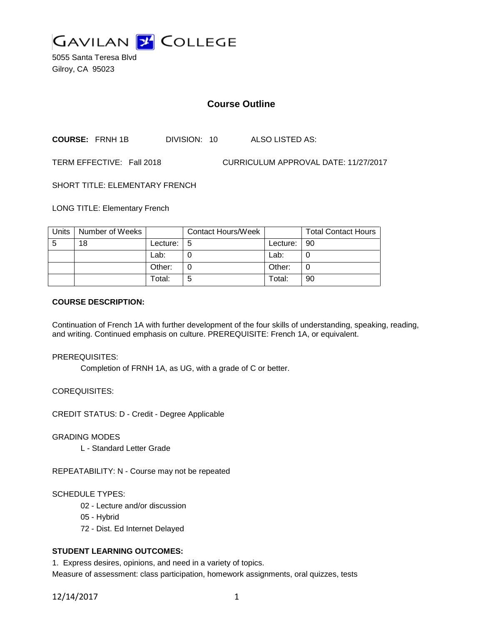

5055 Santa Teresa Blvd Gilroy, CA 95023

# **Course Outline**

**COURSE:** FRNH 1B DIVISION: 10 ALSO LISTED AS:

TERM EFFECTIVE: Fall 2018 CURRICULUM APPROVAL DATE: 11/27/2017

SHORT TITLE: ELEMENTARY FRENCH

LONG TITLE: Elementary French

| Units | Number of Weeks |            | <b>Contact Hours/Week</b> |          | <b>Total Contact Hours</b> |
|-------|-----------------|------------|---------------------------|----------|----------------------------|
| -5    | 18              | Lecture: I | -5                        | Lecture: | $\overline{90}$            |
|       |                 | Lab:       |                           | Lab:     |                            |
|       |                 | Other:     |                           | Other:   |                            |
|       |                 | Total:     | 5                         | Total:   | 90                         |

### **COURSE DESCRIPTION:**

Continuation of French 1A with further development of the four skills of understanding, speaking, reading, and writing. Continued emphasis on culture. PREREQUISITE: French 1A, or equivalent.

### PREREQUISITES:

Completion of FRNH 1A, as UG, with a grade of C or better.

COREQUISITES:

CREDIT STATUS: D - Credit - Degree Applicable

### GRADING MODES

L - Standard Letter Grade

REPEATABILITY: N - Course may not be repeated

### SCHEDULE TYPES:

- 02 Lecture and/or discussion
- 05 Hybrid
- 72 Dist. Ed Internet Delayed

# **STUDENT LEARNING OUTCOMES:**

1. Express desires, opinions, and need in a variety of topics.

Measure of assessment: class participation, homework assignments, oral quizzes, tests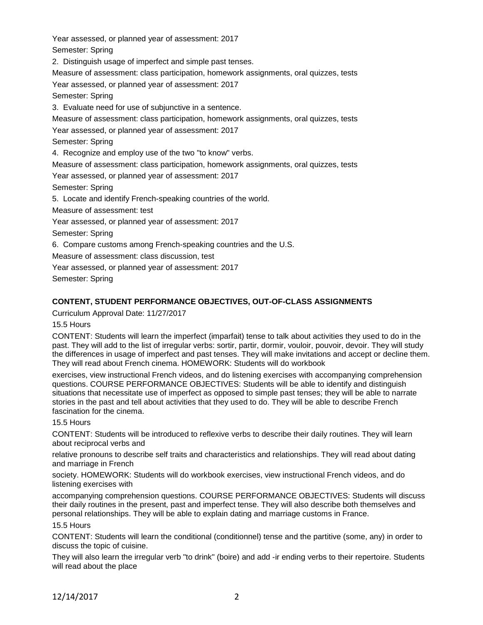Year assessed, or planned year of assessment: 2017

Semester: Spring

2. Distinguish usage of imperfect and simple past tenses.

Measure of assessment: class participation, homework assignments, oral quizzes, tests

Year assessed, or planned year of assessment: 2017

Semester: Spring

3. Evaluate need for use of subjunctive in a sentence.

Measure of assessment: class participation, homework assignments, oral quizzes, tests

Year assessed, or planned year of assessment: 2017

Semester: Spring

4. Recognize and employ use of the two "to know" verbs.

Measure of assessment: class participation, homework assignments, oral quizzes, tests

Year assessed, or planned year of assessment: 2017

Semester: Spring

5. Locate and identify French-speaking countries of the world.

Measure of assessment: test

Year assessed, or planned year of assessment: 2017

Semester: Spring

6. Compare customs among French-speaking countries and the U.S.

Measure of assessment: class discussion, test

Year assessed, or planned year of assessment: 2017

Semester: Spring

# **CONTENT, STUDENT PERFORMANCE OBJECTIVES, OUT-OF-CLASS ASSIGNMENTS**

Curriculum Approval Date: 11/27/2017

### 15.5 Hours

CONTENT: Students will learn the imperfect (imparfait) tense to talk about activities they used to do in the past. They will add to the list of irregular verbs: sortir, partir, dormir, vouloir, pouvoir, devoir. They will study the differences in usage of imperfect and past tenses. They will make invitations and accept or decline them. They will read about French cinema. HOMEWORK: Students will do workbook

exercises, view instructional French videos, and do listening exercises with accompanying comprehension questions. COURSE PERFORMANCE OBJECTIVES: Students will be able to identify and distinguish situations that necessitate use of imperfect as opposed to simple past tenses; they will be able to narrate stories in the past and tell about activities that they used to do. They will be able to describe French fascination for the cinema.

### 15.5 Hours

CONTENT: Students will be introduced to reflexive verbs to describe their daily routines. They will learn about reciprocal verbs and

relative pronouns to describe self traits and characteristics and relationships. They will read about dating and marriage in French

society. HOMEWORK: Students will do workbook exercises, view instructional French videos, and do listening exercises with

accompanying comprehension questions. COURSE PERFORMANCE OBJECTIVES: Students will discuss their daily routines in the present, past and imperfect tense. They will also describe both themselves and personal relationships. They will be able to explain dating and marriage customs in France.

### 15.5 Hours

CONTENT: Students will learn the conditional (conditionnel) tense and the partitive (some, any) in order to discuss the topic of cuisine.

They will also learn the irregular verb "to drink" (boire) and add -ir ending verbs to their repertoire. Students will read about the place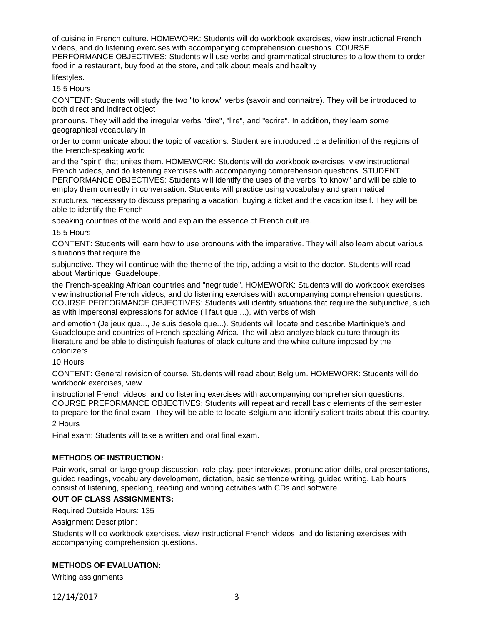of cuisine in French culture. HOMEWORK: Students will do workbook exercises, view instructional French videos, and do listening exercises with accompanying comprehension questions. COURSE PERFORMANCE OBJECTIVES: Students will use verbs and grammatical structures to allow them to order food in a restaurant, buy food at the store, and talk about meals and healthy

lifestyles.

15.5 Hours

CONTENT: Students will study the two "to know" verbs (savoir and connaitre). They will be introduced to both direct and indirect object

pronouns. They will add the irregular verbs "dire", "lire", and "ecrire". In addition, they learn some geographical vocabulary in

order to communicate about the topic of vacations. Student are introduced to a definition of the regions of the French-speaking world

and the "spirit" that unites them. HOMEWORK: Students will do workbook exercises, view instructional French videos, and do listening exercises with accompanying comprehension questions. STUDENT PERFORMANCE OBJECTIVES: Students will identify the uses of the verbs "to know" and will be able to employ them correctly in conversation. Students will practice using vocabulary and grammatical

structures. necessary to discuss preparing a vacation, buying a ticket and the vacation itself. They will be able to identify the French-

speaking countries of the world and explain the essence of French culture.

#### 15.5 Hours

CONTENT: Students will learn how to use pronouns with the imperative. They will also learn about various situations that require the

subjunctive. They will continue with the theme of the trip, adding a visit to the doctor. Students will read about Martinique, Guadeloupe,

the French-speaking African countries and "negritude". HOMEWORK: Students will do workbook exercises, view instructional French videos, and do listening exercises with accompanying comprehension questions. COURSE PERFORMANCE OBJECTIVES: Students will identify situations that require the subjunctive, such as with impersonal expressions for advice (Il faut que ...), with verbs of wish

and emotion (Je jeux que..., Je suis desole que...). Students will locate and describe Martinique's and Guadeloupe and countries of French-speaking Africa. The will also analyze black culture through its literature and be able to distinguish features of black culture and the white culture imposed by the colonizers.

### 10 Hours

CONTENT: General revision of course. Students will read about Belgium. HOMEWORK: Students will do workbook exercises, view

instructional French videos, and do listening exercises with accompanying comprehension questions. COURSE PREFORMANCE OBJECTIVES: Students will repeat and recall basic elements of the semester to prepare for the final exam. They will be able to locate Belgium and identify salient traits about this country.

2 Hours

Final exam: Students will take a written and oral final exam.

### **METHODS OF INSTRUCTION:**

Pair work, small or large group discussion, role-play, peer interviews, pronunciation drills, oral presentations, guided readings, vocabulary development, dictation, basic sentence writing, guided writing. Lab hours consist of listening, speaking, reading and writing activities with CDs and software.

### **OUT OF CLASS ASSIGNMENTS:**

Required Outside Hours: 135

Assignment Description:

Students will do workbook exercises, view instructional French videos, and do listening exercises with accompanying comprehension questions.

### **METHODS OF EVALUATION:**

Writing assignments

12/14/2017 3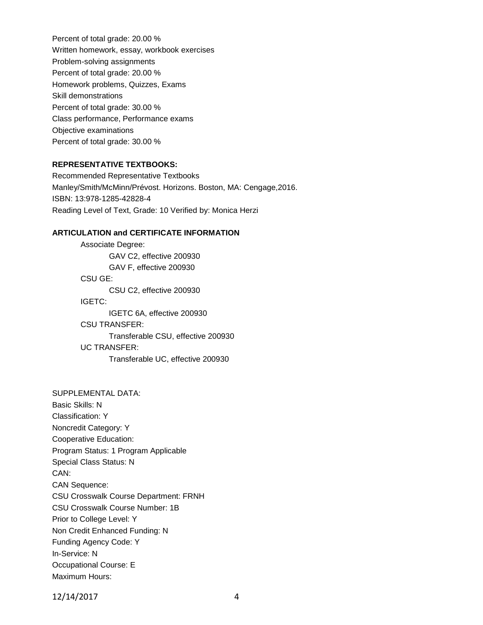Percent of total grade: 20.00 % Written homework, essay, workbook exercises Problem-solving assignments Percent of total grade: 20.00 % Homework problems, Quizzes, Exams Skill demonstrations Percent of total grade: 30.00 % Class performance, Performance exams Objective examinations Percent of total grade: 30.00 %

### **REPRESENTATIVE TEXTBOOKS:**

Recommended Representative Textbooks Manley/Smith/McMinn/Prévost. Horizons. Boston, MA: Cengage,2016. ISBN: 13:978-1285-42828-4 Reading Level of Text, Grade: 10 Verified by: Monica Herzi

### **ARTICULATION and CERTIFICATE INFORMATION**

Associate Degree: GAV C2, effective 200930 GAV F, effective 200930 CSU GE: CSU C2, effective 200930 IGETC: IGETC 6A, effective 200930 CSU TRANSFER: Transferable CSU, effective 200930 UC TRANSFER: Transferable UC, effective 200930

### SUPPLEMENTAL DATA:

Basic Skills: N Classification: Y Noncredit Category: Y Cooperative Education: Program Status: 1 Program Applicable Special Class Status: N CAN: CAN Sequence: CSU Crosswalk Course Department: FRNH CSU Crosswalk Course Number: 1B Prior to College Level: Y Non Credit Enhanced Funding: N Funding Agency Code: Y In-Service: N Occupational Course: E Maximum Hours:

12/14/2017 4